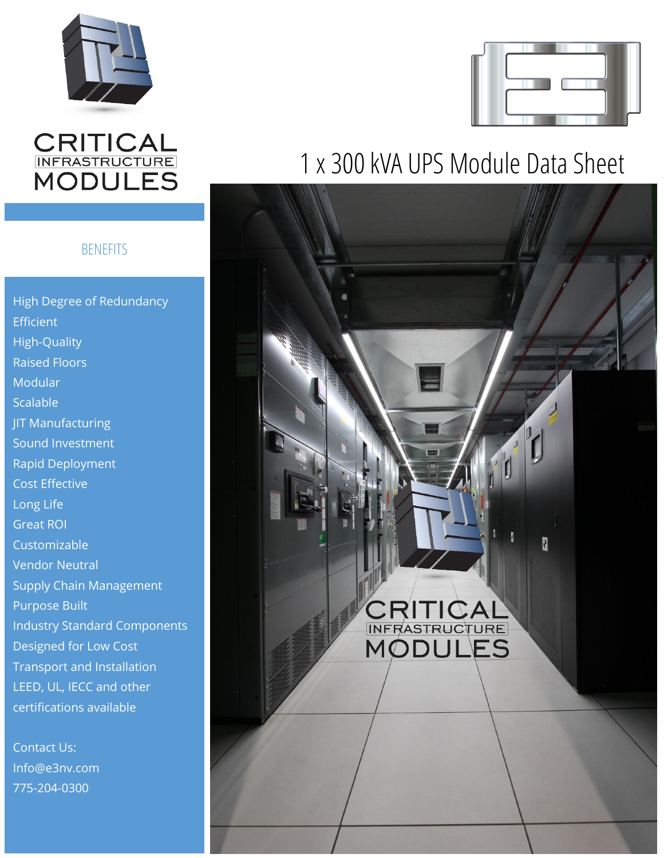

# **CRITICAL<br>INFRASTRUCTURE**<br>MODULES

### **BENEFITS**

High Degree of Redundancy **Efficient** High-Quality Raised Floors Modular Scalable **JIT Manufacturing** Sound Investment Rapid Deployment Cost Effective Long Life Great ROI Customizable Vendor Neutral Supply Chain Management Purpose Built Industry Standard Components Designed for Low Cost Transport and Installation LEED, UL, IECC and other certifications available

Contact Us: Info@e3nv.com 775-204-0300



# 1 x 300 kVA UPS Module Data Sheet

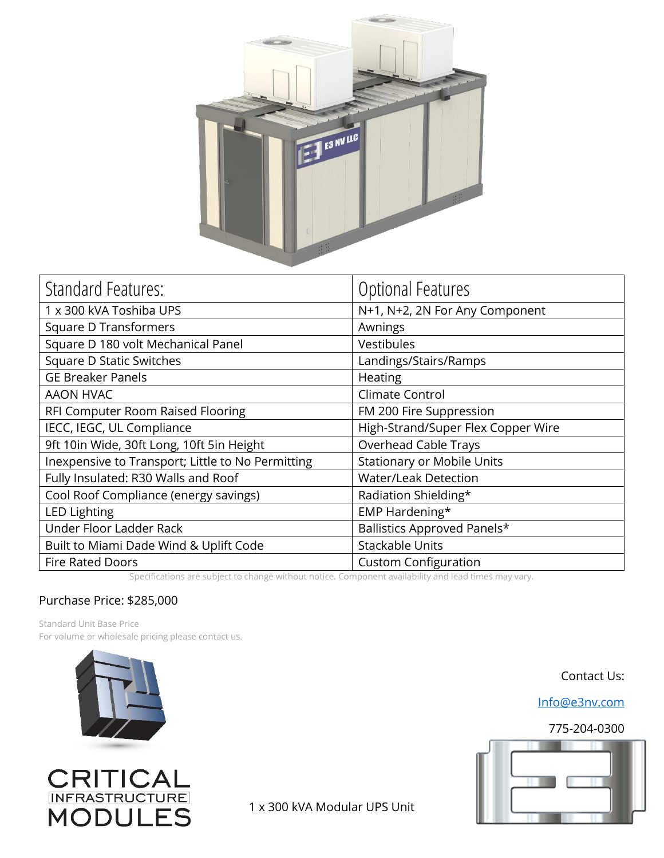

| Optional Features                                                                                                                            |
|----------------------------------------------------------------------------------------------------------------------------------------------|
| N+1, N+2, 2N For Any Component                                                                                                               |
| Awnings                                                                                                                                      |
| <b>Vestibules</b>                                                                                                                            |
| Landings/Stairs/Ramps                                                                                                                        |
| Heating                                                                                                                                      |
| Climate Control                                                                                                                              |
| FM 200 Fire Suppression                                                                                                                      |
| High-Strand/Super Flex Copper Wire                                                                                                           |
| Overhead Cable Trays                                                                                                                         |
| <b>Stationary or Mobile Units</b>                                                                                                            |
| <b>Water/Leak Detection</b>                                                                                                                  |
| Radiation Shielding*                                                                                                                         |
| EMP Hardening*                                                                                                                               |
| Ballistics Approved Panels*                                                                                                                  |
| <b>Stackable Units</b>                                                                                                                       |
| <b>Custom Configuration</b><br>Canadiante de cubinster de característica Componente unidelita con de la constantional de la componente de la |
|                                                                                                                                              |

Specifications are subject to change without notice. Component availability and lead times may vary.

#### Purchase Price: \$285,000

Standard Unit Base Price For volume or wholesale pricing please contact us.





1 x 300 kVA Modular UPS Unit

Contact Us:

[Info@e3nv.com](mailto:Info@e3nv.com)

#### 775-204-0300

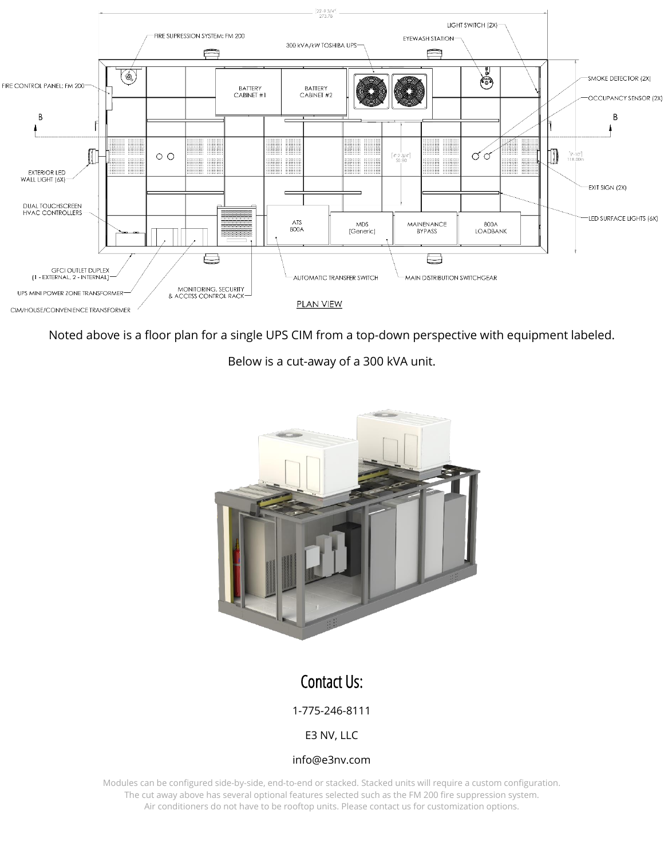

Noted above is a floor plan for a single UPS CIM from a top-down perspective with equipment labeled.

Below is a cut-away of a 300 kVA unit.



## Contact Us:

1-775-246-8111

E3 NV, LLC

#### info@e3nv.com

Modules can be configured side-by-side, end-to-end or stacked. Stacked units will require a custom configuration. The cut away above has several optional features selected such as the FM 200 fire suppression system. Air conditioners do not have to be rooftop units. Please contact us for customization options.